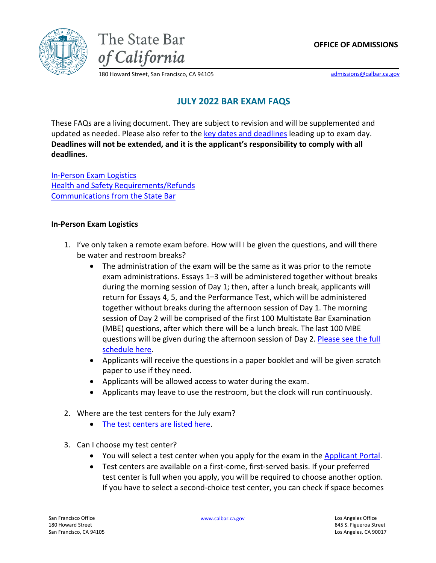



180 Howard Street, San Francisco, CA 94105

[admissions@calbar.ca.gov](mailto:admissions@calbar.ca.gov) 

## **JULY 2022 BAR EXAM FAQS**

These FAQs are a living document. They are subject to revision and will be supplemented and updated as needed. Please also refer to the [key dates and deadlines](https://www.calbar.ca.gov/Admissions/Examinations/California-Bar-Examination/July-2022-California-Bar-Exam) leading up to exam day. **Deadlines will not be extended, and it is the applicant's responsibility to comply with all deadlines.** 

[In-Person Exam Logistics](#page-0-0) [Health and Safety Requirements/Refunds](#page-1-0) [Communications from the State Bar](#page-2-0)

## <span id="page-0-0"></span>**In-Person Exam Logistics**

- 1. I've only taken a remote exam before. How will I be given the questions, and will there be water and restroom breaks?
	- The administration of the exam will be the same as it was prior to the remote exam administrations. Essays 1–3 will be administered together without breaks during the morning session of Day 1; then, after a lunch break, applicants will return for Essays 4, 5, and the Performance Test, which will be administered together without breaks during the afternoon session of Day 1. The morning session of Day 2 will be comprised of the first 100 Multistate Bar Examination (MBE) questions, after which there will be a lunch break. The last 100 MBE questions will be given during the afternoon session of Day 2. Please see the full [schedule here.](https://www.calbar.ca.gov/Portals/0/documents/admissions/Examinations/July-2022-Bar-Exam-Schedule.pdf)
	- Applicants will receive the questions in a paper booklet and will be given scratch paper to use if they need.
	- Applicants will be allowed access to water during the exam.
	- Applicants may leave to use the restroom, but the clock will run continuously.
- 2. Where are the test centers for the July exam?
	- [The test centers are listed here.](https://www.calbar.ca.gov/Admissions/Examinations/California-Bar-Examination/Testing-Centers)
- 3. Can I choose my test center?
	- You will select a test center when you apply for the exam in the [Applicant Portal.](https://admissions.calbar.ca.gov/)
	- Test centers are available on a first-come, first-served basis. If your preferred test center is full when you apply, you will be required to choose another option. If you have to select a second-choice test center, you can check if space becomes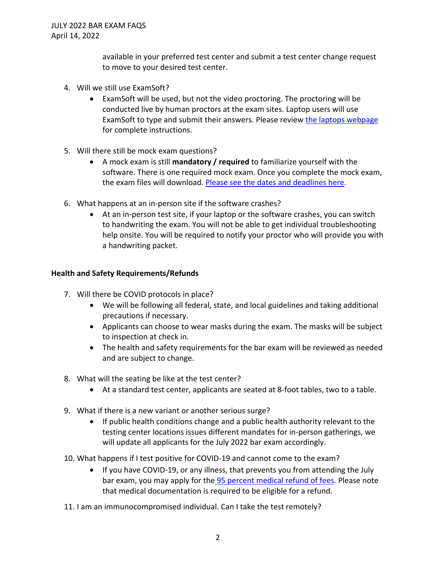available in your preferred test center and submit a test center change request to move to your desired test center.

- 4. Will we still use ExamSoft?
	- ExamSoft will be used, but not the video proctoring. The proctoring will be conducted live by human proctors at the exam sites. Laptop users will use ExamSoft to type and submit their answers. Please review [the laptops webpage](https://www.calbar.ca.gov/Admissions/Examinations/California-Bar-Examination/Laptops-for-Bar-Exam) for complete instructions.
- 5. Will there still be mock exam questions?
	- A mock exam is still **mandatory / required** to familiarize yourself with the software. There is one required mock exam. Once you complete the mock exam, the exam files will download[. Please see the dates and deadlines here.](http://www.calbar.ca.gov/Admissions/Examinations/California-Bar-Examination/July-2022-California-Bar-Exam)
- 6. What happens at an in-person site if the software crashes?
	- At an in-person test site, if your laptop or the software crashes, you can switch to handwriting the exam. You will not be able to get individual troubleshooting help onsite. You will be required to notify your proctor who will provide you with a handwriting packet.

## <span id="page-1-0"></span>**Health and Safety Requirements/Refunds**

- 7. Will there be COVID protocols in place?
	- We will be following all federal, state, and local guidelines and taking additional precautions if necessary.
	- Applicants can choose to wear masks during the exam. The masks will be subject to inspection at check in.
	- The health and safety requirements for the bar exam will be reviewed as needed and are subject to change.
- 8. What will the seating be like at the test center?
	- At a standard test center, applicants are seated at 8-foot tables, two to a table.
- 9. What if there is a new variant or another serious surge?
	- If public health conditions change and a public health authority relevant to the testing center locations issues different mandates for in-person gatherings, we will update all applicants for the July 2022 bar exam accordingly.
- 10. What happens if I test positive for COVID-19 and cannot come to the exam?
	- If you have COVID-19, or any illness, that prevents you from attending the July bar exam, you may apply for the [95 percent medical refund of fees.](https://www.calbar.ca.gov/Portals/0/documents/forms/admissions/Refundform.pdf) Please note that medical documentation is required to be eligible for a refund.
- 11. I am an immunocompromised individual. Can I take the test remotely?